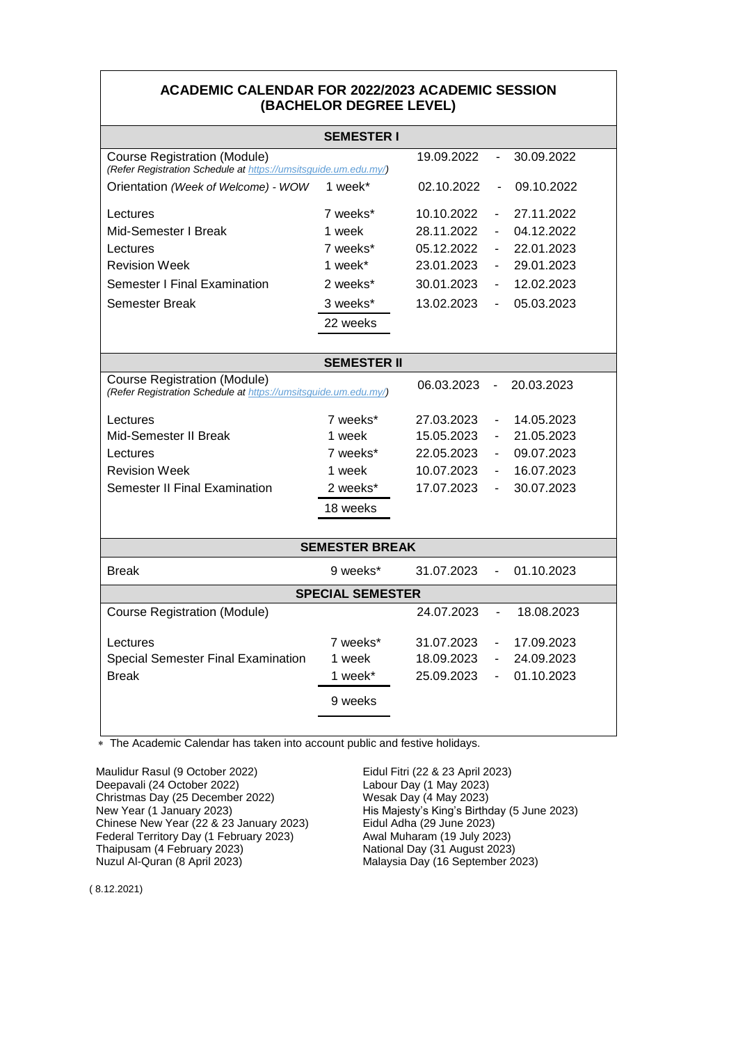## **ACADEMIC CALENDAR FOR 2022/2023 ACADEMIC SESSION (BACHELOR DEGREE LEVEL)**

|                                                                                                                                    | <b>SEMESTER I</b> |            |                          |            |  |  |  |
|------------------------------------------------------------------------------------------------------------------------------------|-------------------|------------|--------------------------|------------|--|--|--|
| 19.09.2022<br>30.09.2022<br><b>Course Registration (Module)</b><br>(Refer Registration Schedule at https://umsitsguide.um.edu.my/) |                   |            |                          |            |  |  |  |
| Orientation (Week of Welcome) - WOW                                                                                                | 1 week*           | 02.10.2022 | $\blacksquare$           | 09.10.2022 |  |  |  |
| Lectures                                                                                                                           | 7 weeks*          | 10.10.2022 |                          | 27.11.2022 |  |  |  |
| Mid-Semester I Break                                                                                                               | 1 week            | 28.11.2022 | $\overline{\phantom{a}}$ | 04.12.2022 |  |  |  |
| Lectures                                                                                                                           | 7 weeks*          | 05.12.2022 | $\overline{\phantom{a}}$ | 22.01.2023 |  |  |  |
| <b>Revision Week</b>                                                                                                               | 1 week*           | 23.01.2023 | $\blacksquare$           | 29.01.2023 |  |  |  |
| Semester I Final Examination                                                                                                       | 2 weeks*          | 30.01.2023 | $\overline{\phantom{a}}$ | 12.02.2023 |  |  |  |
| Semester Break                                                                                                                     | 3 weeks*          | 13.02.2023 |                          | 05.03.2023 |  |  |  |
|                                                                                                                                    | 22 weeks          |            |                          |            |  |  |  |
|                                                                                                                                    |                   |            |                          |            |  |  |  |
| <b>SEMESTER II</b>                                                                                                                 |                   |            |                          |            |  |  |  |
| <b>Course Registration (Module)</b><br>(Refer Registration Schedule at https://umsitsguide.um.edu.my/)                             |                   | 06.03.2023 |                          | 20.03.2023 |  |  |  |
| Lectures                                                                                                                           | 7 weeks*          | 27.03.2023 | $\overline{\phantom{a}}$ | 14.05.2023 |  |  |  |
| Mid-Semester II Break                                                                                                              | 1 week            | 15.05.2023 | $\overline{\phantom{m}}$ | 21.05.2023 |  |  |  |
| Lectures                                                                                                                           | 7 weeks*          | 22.05.2023 | $\overline{\phantom{a}}$ | 09.07.2023 |  |  |  |
| <b>Revision Week</b>                                                                                                               | 1 week            | 10.07.2023 | $\overline{\phantom{a}}$ | 16.07.2023 |  |  |  |
| Semester II Final Examination                                                                                                      | 2 weeks*          | 17.07.2023 | $\blacksquare$           | 30.07.2023 |  |  |  |
|                                                                                                                                    | 18 weeks          |            |                          |            |  |  |  |
|                                                                                                                                    |                   |            |                          |            |  |  |  |
| <b>SEMESTER BREAK</b>                                                                                                              |                   |            |                          |            |  |  |  |
| <b>Break</b>                                                                                                                       | 9 weeks*          | 31.07.2023 | $\overline{\phantom{a}}$ | 01.10.2023 |  |  |  |
| <b>SPECIAL SEMESTER</b>                                                                                                            |                   |            |                          |            |  |  |  |
| <b>Course Registration (Module)</b>                                                                                                |                   | 24.07.2023 | $\blacksquare$           | 18.08.2023 |  |  |  |
| Lectures                                                                                                                           | 7 weeks*          | 31.07.2023 | $\overline{\phantom{a}}$ | 17.09.2023 |  |  |  |
| <b>Special Semester Final Examination</b>                                                                                          | 1 week            | 18.09.2023 | $\overline{\phantom{a}}$ | 24.09.2023 |  |  |  |
| <b>Break</b>                                                                                                                       | 1 week*           | 25.09.2023 | $\overline{\phantom{a}}$ | 01.10.2023 |  |  |  |
|                                                                                                                                    | 9 weeks           |            |                          |            |  |  |  |
|                                                                                                                                    |                   |            |                          |            |  |  |  |

The Academic Calendar has taken into account public and festive holidays.

Maulidur Rasul (9 October 2022) Eidul Fitri (22 & 23 April 2023) Deepavali (24 October 2022)<br>
Christmas Day (25 December 2022)<br>
Wesak Day (4 May 2023) Christmas Day (25 December 2022) Chinese New Year (22 & 23 January 2023) Eidul Adha (29 June 2023)<br>Federal Territory Day (1 February 2023) Awal Muharam (19 July 2023) Federal Territory Day (1 February 2023)<br>Thaipusam (4 February 2023) Thaipusam (4 February 2023)<br>
Nuzul Al-Quran (8 April 2023)<br>
Malaysia Day (16 September 2

New Year (1 January 2023) His Majesty's King's Birthday (5 June 2023) Malaysia Day (16 September 2023)

( 8.12.2021)